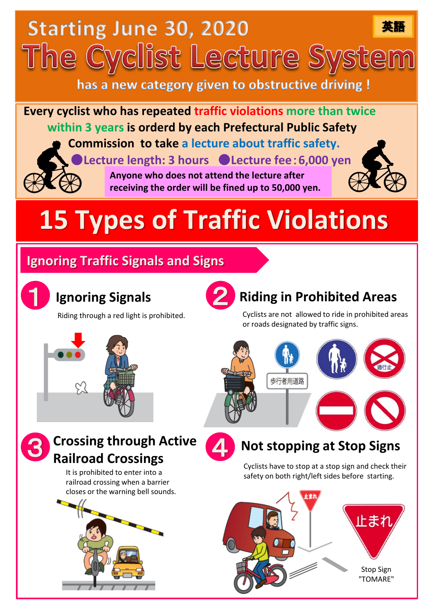